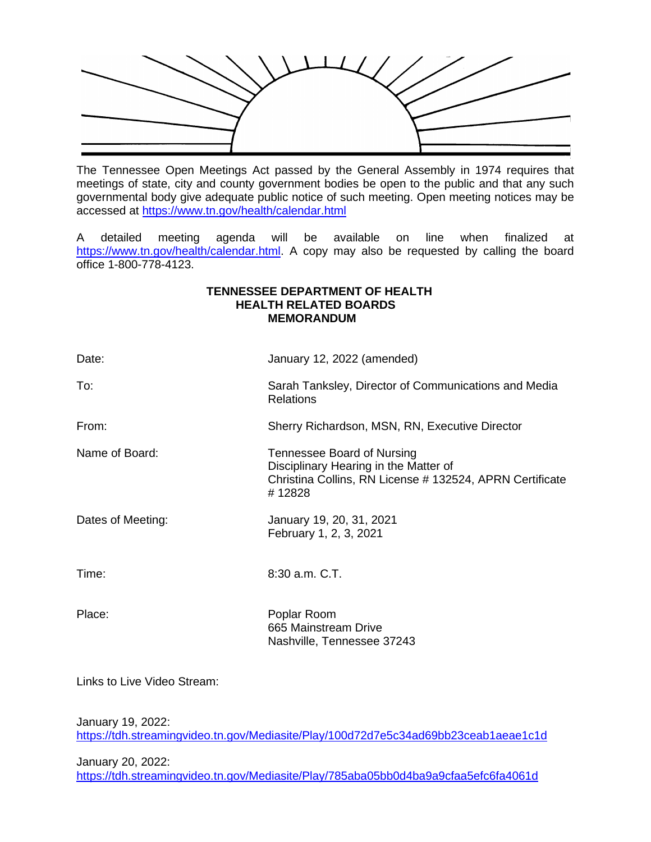

The Tennessee Open Meetings Act passed by the General Assembly in 1974 requires that meetings of state, city and county government bodies be open to the public and that any such governmental body give adequate public notice of such meeting. Open meeting notices may be accessed at<https://www.tn.gov/health/calendar.html>

A detailed meeting agenda will be available on line when finalized at [https://www.tn.gov/health/calendar.html.](https://www.tn.gov/health/calendar.html) A copy may also be requested by calling the board office 1-800-778-4123.

#### **TENNESSEE DEPARTMENT OF HEALTH HEALTH RELATED BOARDS MEMORANDUM**

| Date:             | January 12, 2022 (amended)                                                                                                                |
|-------------------|-------------------------------------------------------------------------------------------------------------------------------------------|
| To:               | Sarah Tanksley, Director of Communications and Media<br><b>Relations</b>                                                                  |
| From:             | Sherry Richardson, MSN, RN, Executive Director                                                                                            |
| Name of Board:    | Tennessee Board of Nursing<br>Disciplinary Hearing in the Matter of<br>Christina Collins, RN License # 132524, APRN Certificate<br>#12828 |
| Dates of Meeting: | January 19, 20, 31, 2021<br>February 1, 2, 3, 2021                                                                                        |
| Time:             | 8:30 a.m. C.T.                                                                                                                            |
| Place:            | Poplar Room<br>665 Mainstream Drive<br>Nashville, Tennessee 37243                                                                         |

Links to Live Video Stream:

January 19, 2022:

<https://tdh.streamingvideo.tn.gov/Mediasite/Play/100d72d7e5c34ad69bb23ceab1aeae1c1d>

January 20, 2022: <https://tdh.streamingvideo.tn.gov/Mediasite/Play/785aba05bb0d4ba9a9cfaa5efc6fa4061d>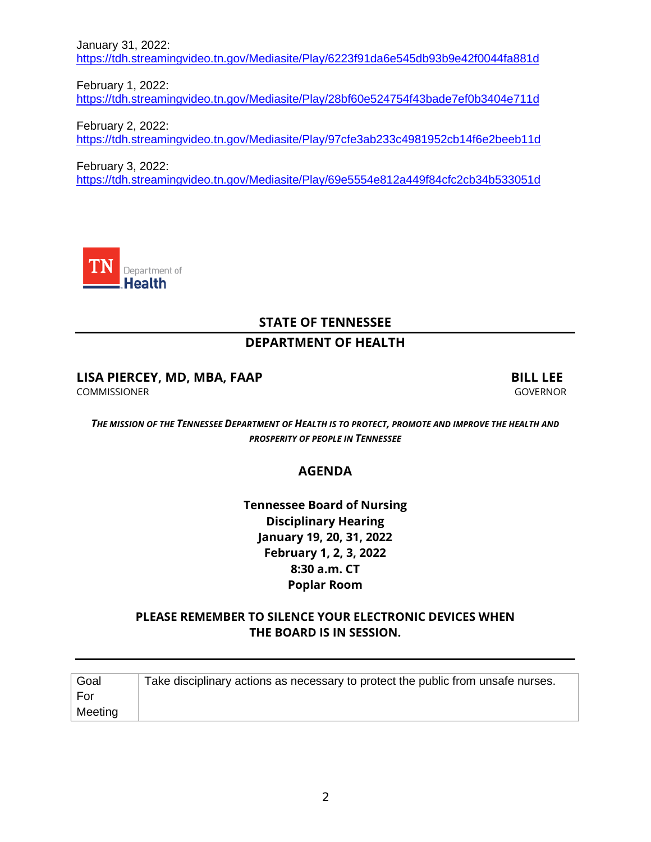January 31, 2022: <https://tdh.streamingvideo.tn.gov/Mediasite/Play/6223f91da6e545db93b9e42f0044fa881d>

February 1, 2022: <https://tdh.streamingvideo.tn.gov/Mediasite/Play/28bf60e524754f43bade7ef0b3404e711d>

February 2, 2022: <https://tdh.streamingvideo.tn.gov/Mediasite/Play/97cfe3ab233c4981952cb14f6e2beeb11d>

February 3, 2022: <https://tdh.streamingvideo.tn.gov/Mediasite/Play/69e5554e812a449f84cfc2cb34b533051d>



# **STATE OF TENNESSEE**

## **DEPARTMENT OF HEALTH**

# **LISA PIERCEY, MD, MBA, FAAP BILL LEE**

COMMISSIONER GOVERNOR

*THE MISSION OF THE TENNESSEE DEPARTMENT OF HEALTH IS TO PROTECT, PROMOTE AND IMPROVE THE HEALTH AND PROSPERITY OF PEOPLE IN TENNESSEE*

## **AGENDA**

**Tennessee Board of Nursing Disciplinary Hearing January 19, 20, 31, 2022 February 1, 2, 3, 2022 8:30 a.m. CT Poplar Room**

## **PLEASE REMEMBER TO SILENCE YOUR ELECTRONIC DEVICES WHEN THE BOARD IS IN SESSION.**

| Goal    | Take disciplinary actions as necessary to protect the public from unsafe nurses. |
|---------|----------------------------------------------------------------------------------|
| l For   |                                                                                  |
| Meeting |                                                                                  |